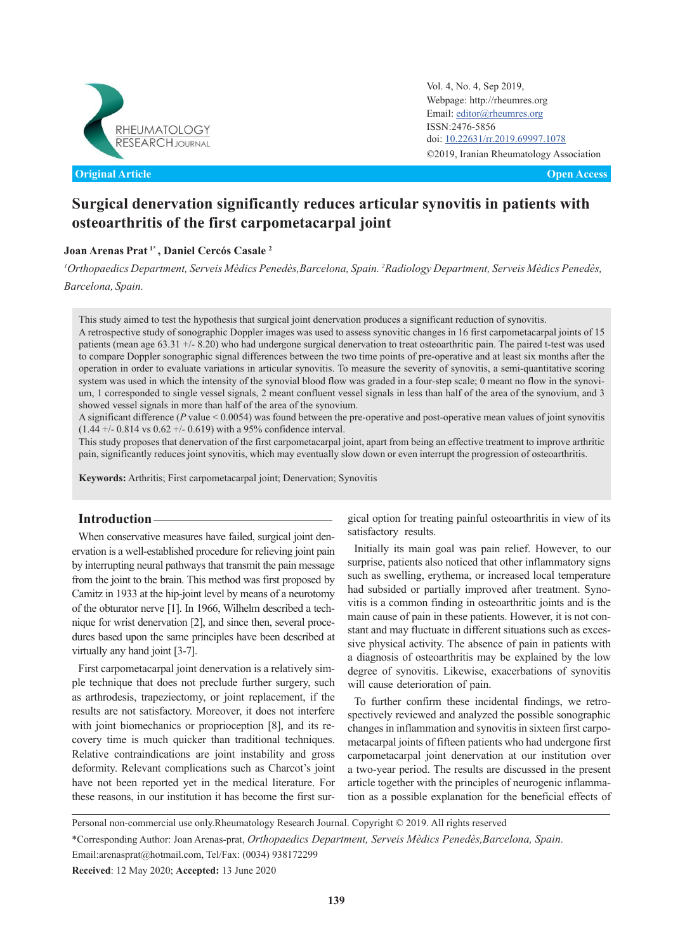

**Original Article Open Access**

Vol. 4, No. 4, Sep 2019, Webpage: http://rheumres.org Email: [editor@rheumres.org](http://editor@rheumres.org) ISSN:2476-5856 doi: doi: 10.22631/rr.2019.69997.1078 ©2019, Iranian Rheumatology Association

# **Surgical denervation significantly reduces articular synovitis in patients with osteoarthritis of the first carpometacarpal joint**

## **Joan Arenas Prat 1\* , Daniel Cercós Casale <sup>2</sup>**

*<sup>1</sup>Orthopaedics Department, Serveis Mèdics Penedès,Barcelona, Spain. <sup>2</sup>Radiology Department, Serveis Mèdics Penedès, Barcelona, Spain.*

This study aimed to test the hypothesis that surgical joint denervation produces a significant reduction of synovitis. A retrospective study of sonographic Doppler images was used to assess synovitic changes in 16 first carpometacarpal joints of 15 patients (mean age 63.31 +/- 8.20) who had undergone surgical denervation to treat osteoarthritic pain. The paired t-test was used to compare Doppler sonographic signal differences between the two time points of pre-operative and at least six months after the operation in order to evaluate variations in articular synovitis. To measure the severity of synovitis, a semi-quantitative scoring system was used in which the intensity of the synovial blood flow was graded in a four-step scale; 0 meant no flow in the synovium, 1 corresponded to single vessel signals, 2 meant confluent vessel signals in less than half of the area of the synovium, and 3 showed vessel signals in more than half of the area of the synovium.

A significant difference (*P* value < 0.0054) was found between the pre-operative and post-operative mean values of joint synovitis  $(1.44 +/- 0.814 \text{ vs } 0.62 +/- 0.619)$  with a 95% confidence interval.

This study proposes that denervation of the first carpometacarpal joint, apart from being an effective treatment to improve arthritic pain, significantly reduces joint synovitis, which may eventually slow down or even interrupt the progression of osteoarthritis.

**Keywords:** Arthritis; First carpometacarpal joint; Denervation; Synovitis

# **Introduction**

When conservative measures have failed, surgical joint denervation is a well-established procedure for relieving joint pain by interrupting neural pathways that transmit the pain message from the joint to the brain. This method was first proposed by Camitz in 1933 at the hip-joint level by means of a neurotomy of the obturator nerve [1]. In 1966, Wilhelm described a technique for wrist denervation [2], and since then, several procedures based upon the same principles have been described at virtually any hand joint [3-7].

First carpometacarpal joint denervation is a relatively simple technique that does not preclude further surgery, such as arthrodesis, trapeziectomy, or joint replacement, if the results are not satisfactory. Moreover, it does not interfere with joint biomechanics or proprioception [8], and its recovery time is much quicker than traditional techniques. Relative contraindications are joint instability and gross deformity. Relevant complications such as Charcot's joint have not been reported yet in the medical literature. For these reasons, in our institution it has become the first surgical option for treating painful osteoarthritis in view of its satisfactory results.

Initially its main goal was pain relief. However, to our surprise, patients also noticed that other inflammatory signs such as swelling, erythema, or increased local temperature had subsided or partially improved after treatment. Synovitis is a common finding in osteoarthritic joints and is the main cause of pain in these patients. However, it is not constant and may fluctuate in different situations such as excessive physical activity. The absence of pain in patients with a diagnosis of osteoarthritis may be explained by the low degree of synovitis. Likewise, exacerbations of synovitis will cause deterioration of pain.

To further confirm these incidental findings, we retrospectively reviewed and analyzed the possible sonographic changes in inflammation and synovitis in sixteen first carpometacarpal joints of fifteen patients who had undergone first carpometacarpal joint denervation at our institution over a two-year period. The results are discussed in the present article together with the principles of neurogenic inflammation as a possible explanation for the beneficial effects of

Personal non-commercial use only.Rheumatology Research Journal. Copyright © 2019. All rights reserved \*Corresponding Author: Joan Arenas-prat, *Orthopaedics Department, Serveis Mèdics Penedès,Barcelona, Spain*. Email:arenasprat@hotmail.com, Tel/Fax: (0034) 938172299

**Received**: 12 May 2020; **Accepted:** 13 June 2020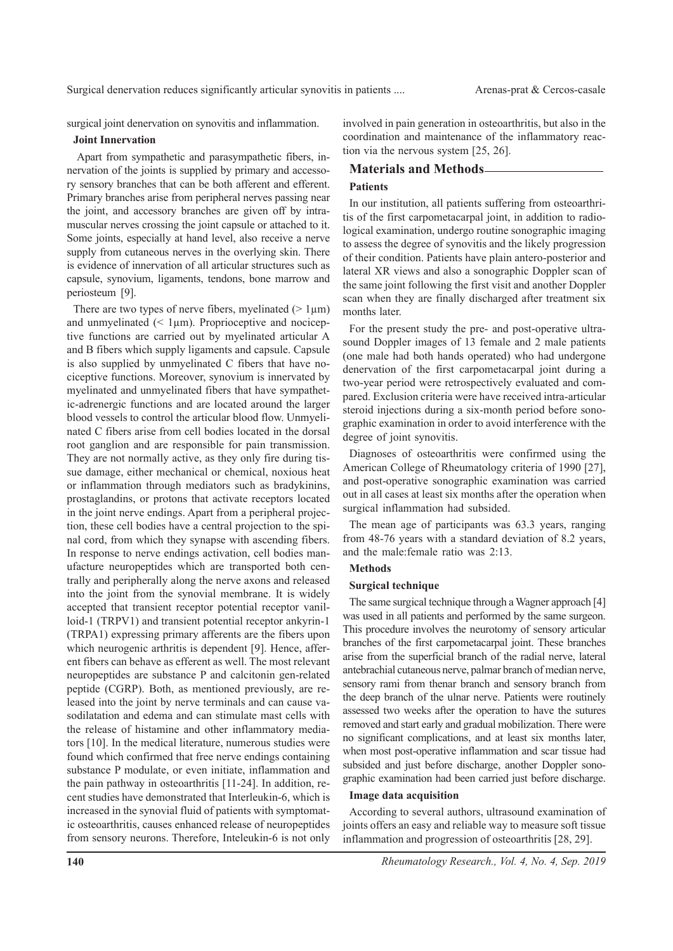surgical joint denervation on synovitis and inflammation.

#### **Joint Innervation**

 Apart from sympathetic and parasympathetic fibers, innervation of the joints is supplied by primary and accessory sensory branches that can be both afferent and efferent. Primary branches arise from peripheral nerves passing near the joint, and accessory branches are given off by intramuscular nerves crossing the joint capsule or attached to it. Some joints, especially at hand level, also receive a nerve supply from cutaneous nerves in the overlying skin. There is evidence of innervation of all articular structures such as capsule, synovium, ligaments, tendons, bone marrow and periosteum [9].

There are two types of nerve fibers, myelinated  $(> 1 \mu m)$ and unmyelinated  $($  1 $\mu$ m). Proprioceptive and nociceptive functions are carried out by myelinated articular A and B fibers which supply ligaments and capsule. Capsule is also supplied by unmyelinated C fibers that have nociceptive functions. Moreover, synovium is innervated by myelinated and unmyelinated fibers that have sympathetic-adrenergic functions and are located around the larger blood vessels to control the articular blood flow. Unmyelinated C fibers arise from cell bodies located in the dorsal root ganglion and are responsible for pain transmission. They are not normally active, as they only fire during tissue damage, either mechanical or chemical, noxious heat or inflammation through mediators such as bradykinins, prostaglandins, or protons that activate receptors located in the joint nerve endings. Apart from a peripheral projection, these cell bodies have a central projection to the spinal cord, from which they synapse with ascending fibers. In response to nerve endings activation, cell bodies manufacture neuropeptides which are transported both centrally and peripherally along the nerve axons and released into the joint from the synovial membrane. It is widely accepted that transient receptor potential receptor vanilloid-1 (TRPV1) and transient potential receptor ankyrin-1 (TRPA1) expressing primary afferents are the fibers upon which neurogenic arthritis is dependent [9]. Hence, afferent fibers can behave as efferent as well. The most relevant neuropeptides are substance P and calcitonin gen-related peptide (CGRP). Both, as mentioned previously, are released into the joint by nerve terminals and can cause vasodilatation and edema and can stimulate mast cells with the release of histamine and other inflammatory mediators [10]. In the medical literature, numerous studies were found which confirmed that free nerve endings containing substance P modulate, or even initiate, inflammation and the pain pathway in osteoarthritis [11-24]. In addition, recent studies have demonstrated that Interleukin-6, which is increased in the synovial fluid of patients with symptomatic osteoarthritis, causes enhanced release of neuropeptides from sensory neurons. Therefore, Inteleukin-6 is not only

involved in pain generation in osteoarthritis, but also in the coordination and maintenance of the inflammatory reaction via the nervous system [25, 26].

#### **Materials and Methods**

#### **Patients**

In our institution, all patients suffering from osteoarthritis of the first carpometacarpal joint, in addition to radiological examination, undergo routine sonographic imaging to assess the degree of synovitis and the likely progression of their condition. Patients have plain antero-posterior and lateral XR views and also a sonographic Doppler scan of the same joint following the first visit and another Doppler scan when they are finally discharged after treatment six months later.

For the present study the pre- and post-operative ultrasound Doppler images of 13 female and 2 male patients (one male had both hands operated) who had undergone denervation of the first carpometacarpal joint during a two-year period were retrospectively evaluated and compared. Exclusion criteria were have received intra-articular steroid injections during a six-month period before sonographic examination in order to avoid interference with the degree of joint synovitis.

Diagnoses of osteoarthritis were confirmed using the American College of Rheumatology criteria of 1990 [27], and post-operative sonographic examination was carried out in all cases at least six months after the operation when surgical inflammation had subsided.

The mean age of participants was 63.3 years, ranging from 48-76 years with a standard deviation of 8.2 years, and the male:female ratio was 2:13.

## **Methods**

#### **Surgical technique**

The same surgical technique through a Wagner approach [4] was used in all patients and performed by the same surgeon. This procedure involves the neurotomy of sensory articular branches of the first carpometacarpal joint. These branches arise from the superficial branch of the radial nerve, lateral antebrachial cutaneous nerve, palmar branch of median nerve, sensory rami from thenar branch and sensory branch from the deep branch of the ulnar nerve. Patients were routinely assessed two weeks after the operation to have the sutures removed and start early and gradual mobilization. There were no significant complications, and at least six months later, when most post-operative inflammation and scar tissue had subsided and just before discharge, another Doppler sonographic examination had been carried just before discharge.

#### **Image data acquisition**

According to several authors, ultrasound examination of joints offers an easy and reliable way to measure soft tissue inflammation and progression of osteoarthritis [28, 29].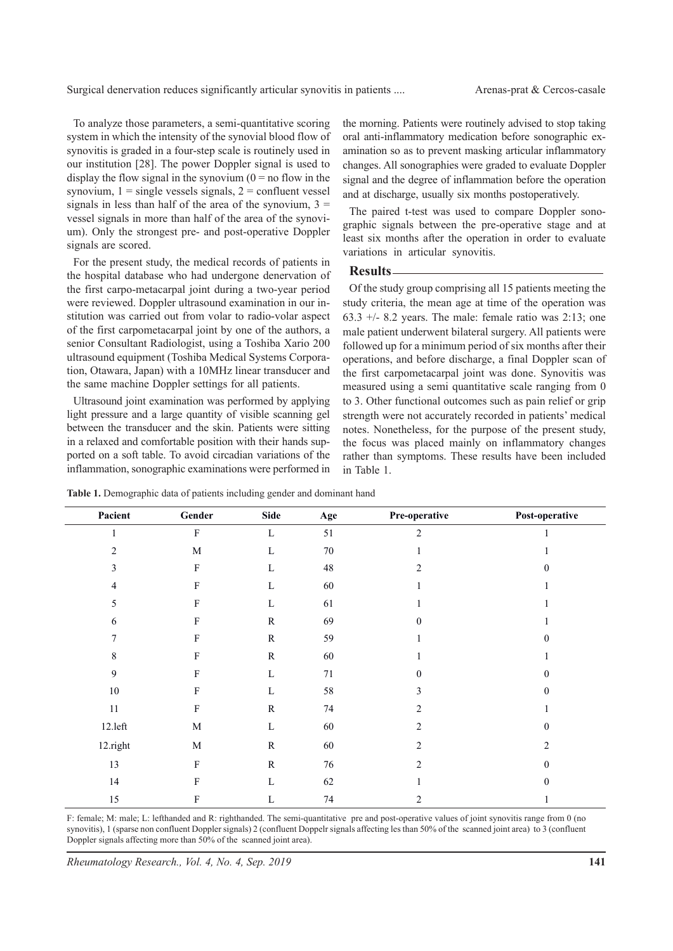Surgical denervation reduces significantly articular synovitis in patients .... Arenas-prat & Cercos-casale

To analyze those parameters, a semi-quantitative scoring system in which the intensity of the synovial blood flow of synovitis is graded in a four-step scale is routinely used in our institution [28]. The power Doppler signal is used to display the flow signal in the synovium  $(0 = no$  flow in the synovium,  $1 =$  single vessels signals,  $2 =$  confluent vessel signals in less than half of the area of the synovium,  $3 =$ vessel signals in more than half of the area of the synovium). Only the strongest pre- and post-operative Doppler signals are scored.

For the present study, the medical records of patients in the hospital database who had undergone denervation of the first carpo-metacarpal joint during a two-year period were reviewed. Doppler ultrasound examination in our institution was carried out from volar to radio-volar aspect of the first carpometacarpal joint by one of the authors, a senior Consultant Radiologist, using a Toshiba Xario 200 ultrasound equipment (Toshiba Medical Systems Corporation, Otawara, Japan) with a 10MHz linear transducer and the same machine Doppler settings for all patients.

Ultrasound joint examination was performed by applying light pressure and a large quantity of visible scanning gel between the transducer and the skin. Patients were sitting in a relaxed and comfortable position with their hands supported on a soft table. To avoid circadian variations of the inflammation, sonographic examinations were performed in the morning. Patients were routinely advised to stop taking oral anti-inflammatory medication before sonographic examination so as to prevent masking articular inflammatory changes. All sonographies were graded to evaluate Doppler signal and the degree of inflammation before the operation and at discharge, usually six months postoperatively.

The paired t-test was used to compare Doppler sonographic signals between the pre-operative stage and at least six months after the operation in order to evaluate variations in articular synovitis.

#### **Results**

Of the study group comprising all 15 patients meeting the study criteria, the mean age at time of the operation was 63.3  $+/-$  8.2 years. The male: female ratio was 2:13; one male patient underwent bilateral surgery. All patients were followed up for a minimum period of six months after their operations, and before discharge, a final Doppler scan of the first carpometacarpal joint was done. Synovitis was measured using a semi quantitative scale ranging from 0 to 3. Other functional outcomes such as pain relief or grip strength were not accurately recorded in patients' medical notes. Nonetheless, for the purpose of the present study, the focus was placed mainly on inflammatory changes rather than symptoms. These results have been included in Table 1.

| Pacient        | Gender                    | <b>Side</b> | Age    | Pre-operative  | Post-operative   |
|----------------|---------------------------|-------------|--------|----------------|------------------|
| $\mathbf{1}$   | $\mathbf F$               | $\mathbf L$ | 51     | $\overline{2}$ |                  |
| $\overline{2}$ | $\mathbf M$               | $\mathbf L$ | $70\,$ |                |                  |
| 3              | ${\bf F}$                 | $\mathbf L$ | $48\,$ | 2              | $\Omega$         |
| 4              | $\boldsymbol{\mathrm{F}}$ | L           | $60\,$ |                |                  |
| 5              | $\mathbf F$               | $\mathbf L$ | 61     |                |                  |
| 6              | $\boldsymbol{\mathrm{F}}$ | ${\bf R}$   | 69     | $\Omega$       |                  |
| 7              | $\mathbf F$               | ${\bf R}$   | 59     |                | $\Omega$         |
| 8              | $\boldsymbol{\mathrm{F}}$ | ${\bf R}$   | $60\,$ |                |                  |
| $\mathbf{9}$   | $\boldsymbol{\mathrm{F}}$ | $\mathbf L$ | 71     | $\mathbf{0}$   | $\boldsymbol{0}$ |
| $10\,$         | $\mathbf F$               | $\mathbf L$ | 58     | 3              | $\mathbf{0}$     |
| $11\,$         | $\mathbf F$               | ${\bf R}$   | 74     | 2              |                  |
| $12.1$ eft     | $\mathbf M$               | L           | $60\,$ | $\overline{2}$ | $\theta$         |
| 12.right       | $\mathbf M$               | ${\bf R}$   | $60\,$ | $\overline{2}$ | $\overline{2}$   |
| 13             | ${\bf F}$                 | ${\bf R}$   | 76     | 2              | $\mathbf{0}$     |
| 14             | $\mathbf F$               | L           | 62     |                | $\theta$         |
| 15             | $\boldsymbol{\mathrm{F}}$ | L           | $74\,$ | $\overline{c}$ |                  |

Table 1. Demographic data of patients including gender and dominant hand

F: female; M: male; L: lefthanded and R: righthanded. The semi-quantitative pre and post-operative values of joint synovitis range from 0 (no synovitis), 1 (sparse non confluent Doppler signals) 2 (confluent Doppelr signals affecting les than 50% of the scanned joint area) to 3 (confluent Doppler signals affecting more than 50% of the scanned joint area).

*Rheumatology Research., Vol. 4, No. 4, Sep. 2019*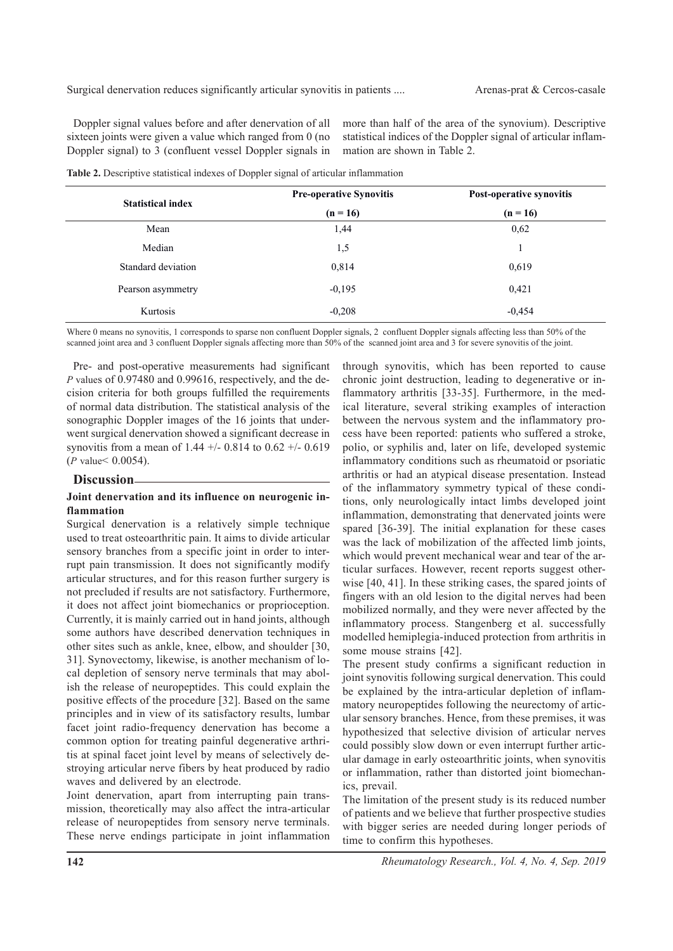Doppler signal values before and after denervation of all sixteen joints were given a value which ranged from 0 (no Doppler signal) to 3 (confluent vessel Doppler signals in more than half of the area of the synovium). Descriptive statistical indices of the Doppler signal of articular inflammation are shown in Table 2.

|  | Table 2. Descriptive statistical indexes of Doppler signal of articular inflammation |
|--|--------------------------------------------------------------------------------------|
|--|--------------------------------------------------------------------------------------|

| <b>Statistical index</b> | <b>Pre-operative Synovitis</b> | Post-operative synovitis |  |
|--------------------------|--------------------------------|--------------------------|--|
|                          | $(n = 16)$                     | $(n = 16)$               |  |
| Mean                     | 1,44                           | 0,62                     |  |
| Median                   | 1,5                            |                          |  |
| Standard deviation       | 0,814                          | 0,619                    |  |
| Pearson asymmetry        | $-0,195$                       | 0,421                    |  |
| Kurtosis                 | $-0,208$                       | $-0,454$                 |  |

Where 0 means no synovitis, 1 corresponds to sparse non confluent Doppler signals, 2 confluent Doppler signals affecting less than 50% of the scanned joint area and 3 confluent Doppler signals affecting more than 50% of the scanned joint area and 3 for severe synovitis of the joint.

Pre- and post-operative measurements had significant *P* values of 0.97480 and 0.99616, respectively, and the decision criteria for both groups fulfilled the requirements of normal data distribution. The statistical analysis of the sonographic Doppler images of the 16 joints that underwent surgical denervation showed a significant decrease in synovitis from a mean of 1.44  $+/-$  0.814 to 0.62  $+/-$  0.619 (*P* value< 0.0054).

#### **Discussion**

#### **Joint denervation and its influence on neurogenic inflammation**

Surgical denervation is a relatively simple technique used to treat osteoarthritic pain. It aims to divide articular sensory branches from a specific joint in order to interrupt pain transmission. It does not significantly modify articular structures, and for this reason further surgery is not precluded if results are not satisfactory. Furthermore, it does not affect joint biomechanics or proprioception. Currently, it is mainly carried out in hand joints, although some authors have described denervation techniques in other sites such as ankle, knee, elbow, and shoulder [30, 31]. Synovectomy, likewise, is another mechanism of local depletion of sensory nerve terminals that may abolish the release of neuropeptides. This could explain the positive effects of the procedure [32]. Based on the same principles and in view of its satisfactory results, lumbar facet joint radio-frequency denervation has become a common option for treating painful degenerative arthritis at spinal facet joint level by means of selectively destroying articular nerve fibers by heat produced by radio waves and delivered by an electrode.

Joint denervation, apart from interrupting pain transmission, theoretically may also affect the intra-articular release of neuropeptides from sensory nerve terminals. These nerve endings participate in joint inflammation

through synovitis, which has been reported to cause chronic joint destruction, leading to degenerative or inflammatory arthritis [33-35]. Furthermore, in the medical literature, several striking examples of interaction between the nervous system and the inflammatory process have been reported: patients who suffered a stroke, polio, or syphilis and, later on life, developed systemic inflammatory conditions such as rheumatoid or psoriatic arthritis or had an atypical disease presentation. Instead of the inflammatory symmetry typical of these conditions, only neurologically intact limbs developed joint inflammation, demonstrating that denervated joints were spared [36-39]. The initial explanation for these cases was the lack of mobilization of the affected limb joints, which would prevent mechanical wear and tear of the articular surfaces. However, recent reports suggest otherwise [40, 41]. In these striking cases, the spared joints of fingers with an old lesion to the digital nerves had been mobilized normally, and they were never affected by the inflammatory process. Stangenberg et al. successfully modelled hemiplegia-induced protection from arthritis in some mouse strains [42].

The present study confirms a significant reduction in joint synovitis following surgical denervation. This could be explained by the intra-articular depletion of inflammatory neuropeptides following the neurectomy of articular sensory branches. Hence, from these premises, it was hypothesized that selective division of articular nerves could possibly slow down or even interrupt further articular damage in early osteoarthritic joints, when synovitis or inflammation, rather than distorted joint biomechanics, prevail.

The limitation of the present study is its reduced number of patients and we believe that further prospective studies with bigger series are needed during longer periods of time to confirm this hypotheses.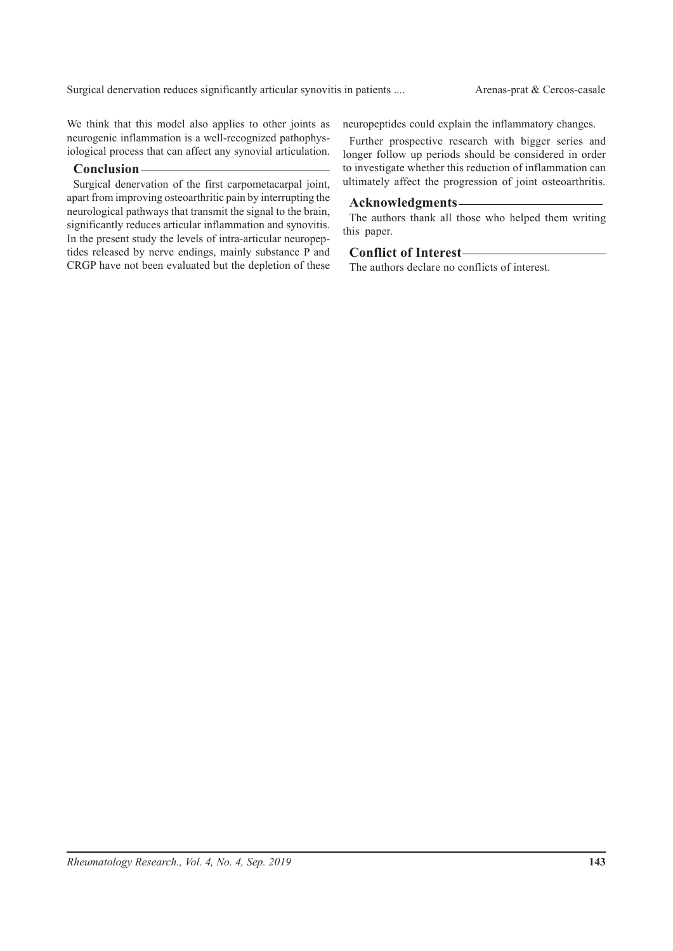We think that this model also applies to other joints as neurogenic inflammation is a well-recognized pathophysiological process that can affect any synovial articulation.

## **Conclusion**

Surgical denervation of the first carpometacarpal joint, apart from improving osteoarthritic pain by interrupting the neurological pathways that transmit the signal to the brain, significantly reduces articular inflammation and synovitis. In the present study the levels of intra-articular neuropeptides released by nerve endings, mainly substance P and CRGP have not been evaluated but the depletion of these neuropeptides could explain the inflammatory changes.

Further prospective research with bigger series and longer follow up periods should be considered in order to investigate whether this reduction of inflammation can ultimately affect the progression of joint osteoarthritis.

### **Acknowledgments**

The authors thank all those who helped them writing this paper.

# **Conflict of Interest**

The authors declare no conflicts of interest.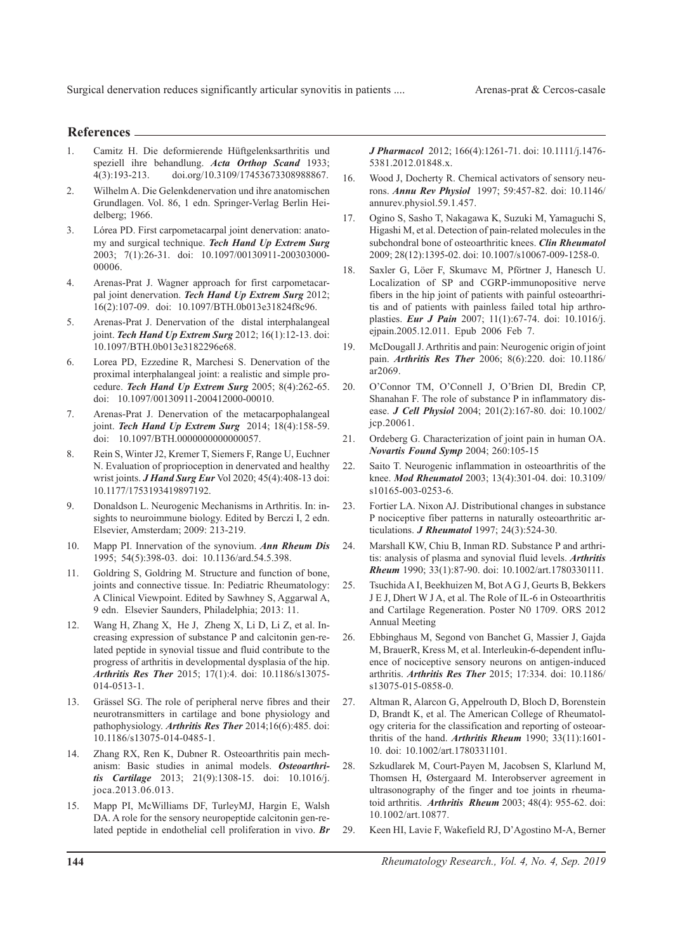#### **References**

- 1. Camitz H. Die deformierende Hüftgelenksarthritis und speziell ihre behandlung. *Acta Orthop Scand* 1933; 4(3):193-213. doi.org/10.3109/17453673308988867.
- 2. Wilhelm A. Die Gelenkdenervation und ihre anatomischen Grundlagen. Vol. 86, 1 edn. Springer-Verlag Berlin Heidelberg; 1966.
- 3. Lórea PD. First carpometacarpal joint denervation: anatomy and surgical technique. *Tech Hand Up Extrem Surg*  2003; 7(1):26-31. doi: 10.1097/00130911-200303000- 00006.
- 4. Arenas-Prat J. Wagner approach for first carpometacarpal joint denervation. *Tech Hand Up Extrem Surg* 2012; 16(2):107-09. doi: 10.1097/BTH.0b013e31824f8c96.
- 5. Arenas-Prat J. Denervation of the distal interphalangeal joint. *Tech Hand Up Extrem Surg* 2012; 16(1):12-13. doi: 10.1097/BTH.0b013e3182296e68.
- 6. Lorea PD, Ezzedine R, Marchesi S. Denervation of the proximal interphalangeal joint: a realistic and simple procedure. *Tech Hand Up Extrem Surg* 2005; 8(4):262-65. doi: 10.1097/00130911-200412000-00010.
- 7. Arenas-Prat J. Denervation of the metacarpophalangeal joint. *Tech Hand Up Extrem Surg* 2014; 18(4):158-59. doi: 10.1097/BTH.0000000000000057.
- 8. Rein S, Winter J2, Kremer T, Siemers F, Range U, Euchner N. Evaluation of proprioception in denervated and healthy wrist joints. *J Hand Surg Eur* Vol 2020; 45(4):408-13 doi: 10.1177/1753193419897192.
- 9. Donaldson L. Neurogenic Mechanisms in Arthritis. In: insights to neuroimmune biology. Edited by Berczi I, 2 edn. Elsevier, Amsterdam; 2009: 213-219.
- 10. Mapp PI. Innervation of the synovium. *Ann Rheum Dis*  1995; 54(5):398-03. doi: 10.1136/ard.54.5.398.
- 11. Goldring S, Goldring M. Structure and function of bone, joints and connective tissue. In: Pediatric Rheumatology: A Clinical Viewpoint. Edited by Sawhney S, Aggarwal A, 9 edn. Elsevier Saunders, Philadelphia; 2013: 11.
- 12. Wang H, Zhang X, He J, Zheng X, Li D, Li Z, et al. Increasing expression of substance P and calcitonin gen-related peptide in synovial tissue and fluid contribute to the progress of arthritis in developmental dysplasia of the hip. *Arthritis Res Ther* 2015; 17(1):4. doi: 10.1186/s13075- 014-0513-1.
- 13. Grässel SG. The role of peripheral nerve fibres and their neurotransmitters in cartilage and bone physiology and pathophysiology. *Arthritis Res Ther* 2014;16(6):485. doi: 10.1186/s13075-014-0485-1.
- 14. Zhang RX, Ren K, Dubner R. Osteoarthritis pain mechanism: Basic studies in animal models. *Osteoarthritis Cartilage* 2013; 21(9):1308-15. doi: 10.1016/j. joca.2013.06.013.
- 15. Mapp PI, McWilliams DF, TurleyMJ, Hargin E, Walsh DA. A role for the sensory neuropeptide calcitonin gen-related peptide in endothelial cell proliferation in vivo. *Br*

*J Pharmacol* 2012; 166(4):1261-71. doi: 10.1111/j.1476- 5381.2012.01848.x.

- 16. Wood J, Docherty R. Chemical activators of sensory neurons. *Annu Rev Physiol* 1997; 59:457-82. doi: 10.1146/ annurev.physiol.59.1.457.
- 17. Ogino S, Sasho T, Nakagawa K, Suzuki M, Yamaguchi S, Higashi M, et al. Detection of pain-related molecules in the subchondral bone of osteoarthritic knees. *Clin Rheumatol*  2009; 28(12):1395-02. doi: 10.1007/s10067-009-1258-0.
- 18. Saxler G, Löer F, Skumavc M, Pförtner J, Hanesch U. Localization of SP and CGRP-immunopositive nerve fibers in the hip joint of patients with painful osteoarthritis and of patients with painless failed total hip arthroplasties. *Eur J Pain* 2007; 11(1):67-74. doi: 10.1016/j. ejpain.2005.12.011. Epub 2006 Feb 7.
- 19. McDougall J. Arthritis and pain: Neurogenic origin of joint pain. *Arthritis Res Ther* 2006; 8(6):220. doi: 10.1186/ ar2069.
- 20. O'Connor TM, O'Connell J, O'Brien DI, Bredin CP, Shanahan F. The role of substance P in inflammatory disease. *J Cell Physiol* 2004; 201(2):167-80. doi: 10.1002/ jcp.20061.
- 21. Ordeberg G. Characterization of joint pain in human OA. *Novartis Found Symp* 2004; 260:105-15
- 22. Saito T. Neurogenic inflammation in osteoarthritis of the knee. *Mod Rheumatol* 2003; 13(4):301-04. doi: 10.3109/ s10165-003-0253-6.
- 23. Fortier LA. Nixon AJ. Distributional changes in substance P nociceptive fiber patterns in naturally osteoarthritic articulations. *J Rheumatol* 1997; 24(3):524-30.
- 24. Marshall KW, Chiu B, Inman RD. Substance P and arthritis: analysis of plasma and synovial fluid levels. *Arthritis Rheum* 1990; 33(1):87-90. doi: 10.1002/art.1780330111.
- 25. Tsuchida A I, Beekhuizen M, Bot A G J, Geurts B, Bekkers J E J, Dhert W J A, et al. The Role of IL-6 in Osteoarthritis and Cartilage Regeneration. Poster N0 1709. ORS 2012 Annual Meeting
- 26. Ebbinghaus M, Segond von Banchet G, Massier J, Gajda M, BrauerR, Kress M, et al. Interleukin-6-dependent influence of nociceptive sensory neurons on antigen-induced arthritis. *Arthritis Res Ther* 2015; 17:334. doi: 10.1186/ s13075-015-0858-0.
- 27. Altman R, Alarcon G, Appelrouth D, Bloch D, Borenstein D, Brandt K, et al. The American College of Rheumatology criteria for the classification and reporting of osteoarthritis of the hand. *Arthritis Rheum* 1990; 33(11):1601- 10. doi: 10.1002/art.1780331101.
- 28. Szkudlarek M, Court-Payen M, Jacobsen S, Klarlund M, Thomsen H, Østergaard M. Interobserver agreement in ultrasonography of the finger and toe joints in rheumatoid arthritis. *Arthritis Rheum* 2003; 48(4): 955-62. doi: 10.1002/art.10877.
- 29. Keen HI, Lavie F, Wakefield RJ, D'Agostino M-A, Berner